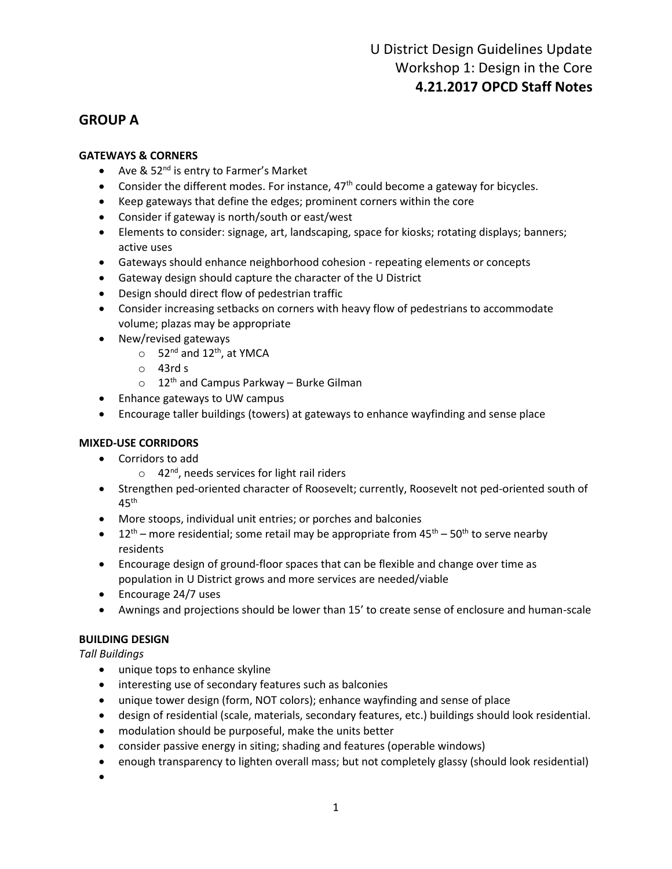## **GROUP A**

## **GATEWAYS & CORNERS**

- Ave &  $52<sup>nd</sup>$  is entry to Farmer's Market
- Consider the different modes. For instance,  $47<sup>th</sup>$  could become a gateway for bicycles.
- Keep gateways that define the edges; prominent corners within the core
- Consider if gateway is north/south or east/west
- Elements to consider: signage, art, landscaping, space for kiosks; rotating displays; banners; active uses
- Gateways should enhance neighborhood cohesion repeating elements or concepts
- Gateway design should capture the character of the U District
- Design should direct flow of pedestrian traffic
- Consider increasing setbacks on corners with heavy flow of pedestrians to accommodate volume; plazas may be appropriate
- New/revised gateways
	- $\circ$  52<sup>nd</sup> and 12<sup>th</sup>, at YMCA
	- o 43rd s
	- $\circ$  12<sup>th</sup> and Campus Parkway Burke Gilman
- Enhance gateways to UW campus
- Encourage taller buildings (towers) at gateways to enhance wayfinding and sense place

## **MIXED-USE CORRIDORS**

- Corridors to add
	- $\circ$  42<sup>nd</sup>, needs services for light rail riders
- Strengthen ped-oriented character of Roosevelt; currently, Roosevelt not ped-oriented south of  $45<sup>th</sup>$
- More stoops, individual unit entries; or porches and balconies
- 12<sup>th</sup> more residential; some retail may be appropriate from  $45^{th}$   $50^{th}$  to serve nearby residents
- Encourage design of ground-floor spaces that can be flexible and change over time as population in U District grows and more services are needed/viable
- Encourage 24/7 uses
- Awnings and projections should be lower than 15' to create sense of enclosure and human-scale

## **BUILDING DESIGN**

*Tall Buildings*

- unique tops to enhance skyline
- interesting use of secondary features such as balconies
- unique tower design (form, NOT colors); enhance wayfinding and sense of place
- design of residential (scale, materials, secondary features, etc.) buildings should look residential.
- modulation should be purposeful, make the units better
- consider passive energy in siting; shading and features (operable windows)
- enough transparency to lighten overall mass; but not completely glassy (should look residential)
- •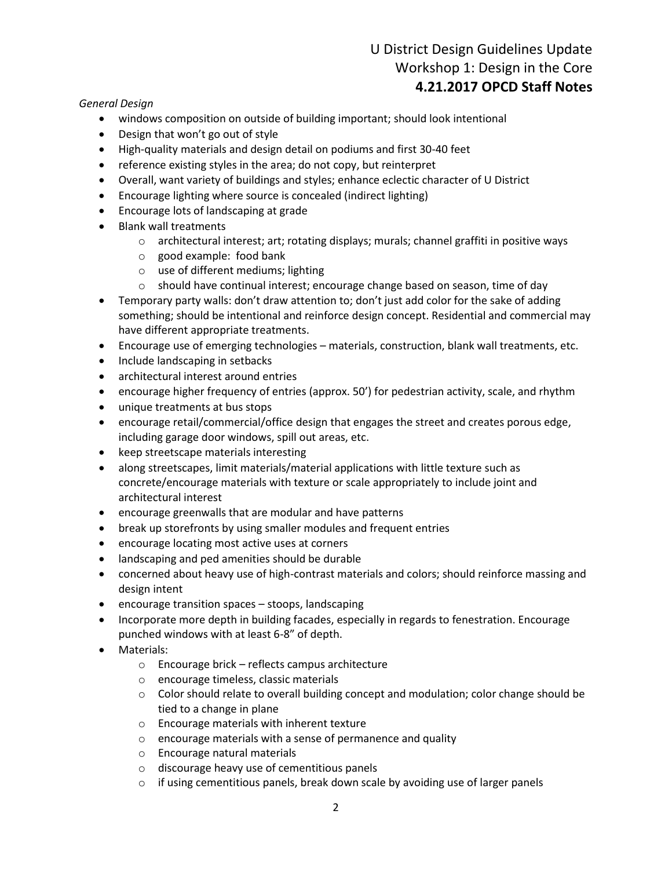# U District Design Guidelines Update Workshop 1: Design in the Core **4.21.2017 OPCD Staff Notes**

#### *General Design*

- windows composition on outside of building important; should look intentional
- Design that won't go out of style
- High-quality materials and design detail on podiums and first 30-40 feet
- reference existing styles in the area; do not copy, but reinterpret
- Overall, want variety of buildings and styles; enhance eclectic character of U District
- Encourage lighting where source is concealed (indirect lighting)
- Encourage lots of landscaping at grade
- Blank wall treatments
	- o architectural interest; art; rotating displays; murals; channel graffiti in positive ways
	- o good example: food bank
	- o use of different mediums; lighting
	- o should have continual interest; encourage change based on season, time of day
- Temporary party walls: don't draw attention to; don't just add color for the sake of adding something; should be intentional and reinforce design concept. Residential and commercial may have different appropriate treatments.
- Encourage use of emerging technologies materials, construction, blank wall treatments, etc.
- Include landscaping in setbacks
- architectural interest around entries
- encourage higher frequency of entries (approx. 50') for pedestrian activity, scale, and rhythm
- unique treatments at bus stops
- encourage retail/commercial/office design that engages the street and creates porous edge, including garage door windows, spill out areas, etc.
- keep streetscape materials interesting
- along streetscapes, limit materials/material applications with little texture such as concrete/encourage materials with texture or scale appropriately to include joint and architectural interest
- encourage greenwalls that are modular and have patterns
- break up storefronts by using smaller modules and frequent entries
- encourage locating most active uses at corners
- landscaping and ped amenities should be durable
- concerned about heavy use of high-contrast materials and colors; should reinforce massing and design intent
- encourage transition spaces stoops, landscaping
- Incorporate more depth in building facades, especially in regards to fenestration. Encourage punched windows with at least 6-8" of depth.
- Materials:
	- o Encourage brick reflects campus architecture
	- o encourage timeless, classic materials
	- o Color should relate to overall building concept and modulation; color change should be tied to a change in plane
	- o Encourage materials with inherent texture
	- o encourage materials with a sense of permanence and quality
	- o Encourage natural materials
	- o discourage heavy use of cementitious panels
	- $\circ$  if using cementitious panels, break down scale by avoiding use of larger panels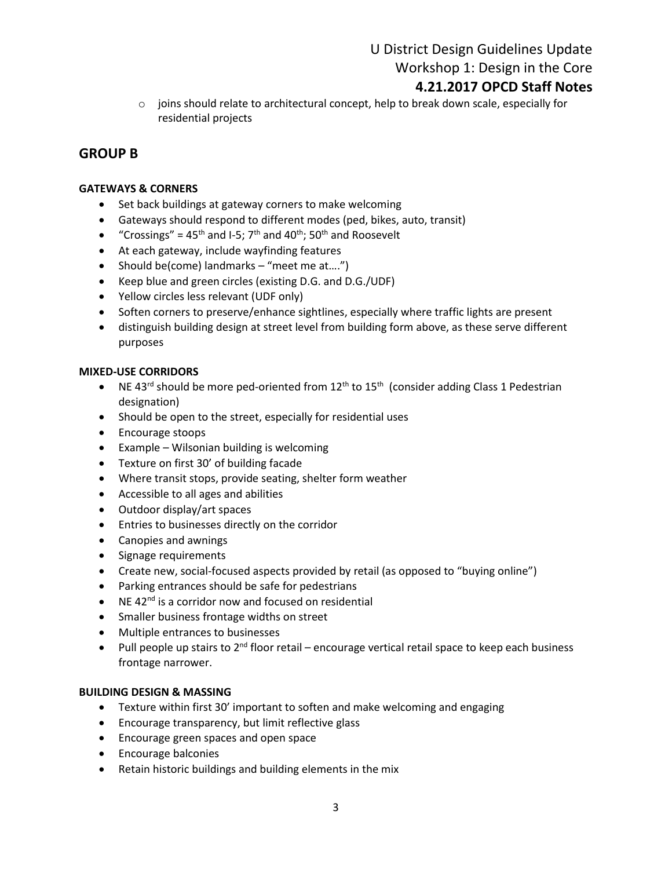U District Design Guidelines Update Workshop 1: Design in the Core

## **4.21.2017 OPCD Staff Notes**

 $\circ$  joins should relate to architectural concept, help to break down scale, especially for residential projects

## **GROUP B**

## **GATEWAYS & CORNERS**

- Set back buildings at gateway corners to make welcoming
- Gateways should respond to different modes (ped, bikes, auto, transit)
- "Crossings" =  $45<sup>th</sup>$  and I-5; 7<sup>th</sup> and  $40<sup>th</sup>$ ; 50<sup>th</sup> and Roosevelt
- At each gateway, include wayfinding features
- Should be(come) landmarks "meet me at....")
- Keep blue and green circles (existing D.G. and D.G./UDF)
- Yellow circles less relevant (UDF only)
- Soften corners to preserve/enhance sightlines, especially where traffic lights are present
- distinguish building design at street level from building form above, as these serve different purposes

### **MIXED-USE CORRIDORS**

- NE 43<sup>rd</sup> should be more ped-oriented from  $12<sup>th</sup>$  to  $15<sup>th</sup>$  (consider adding Class 1 Pedestrian designation)
- Should be open to the street, especially for residential uses
- Encourage stoops
- Example Wilsonian building is welcoming
- Texture on first 30' of building facade
- Where transit stops, provide seating, shelter form weather
- Accessible to all ages and abilities
- Outdoor display/art spaces
- Entries to businesses directly on the corridor
- Canopies and awnings
- Signage requirements
- Create new, social-focused aspects provided by retail (as opposed to "buying online")
- Parking entrances should be safe for pedestrians
- NE 42 $^{nd}$  is a corridor now and focused on residential
- Smaller business frontage widths on street
- Multiple entrances to businesses
- Pull people up stairs to  $2^{nd}$  floor retail encourage vertical retail space to keep each business frontage narrower.

### **BUILDING DESIGN & MASSING**

- Texture within first 30' important to soften and make welcoming and engaging
- Encourage transparency, but limit reflective glass
- Encourage green spaces and open space
- Encourage balconies
- Retain historic buildings and building elements in the mix